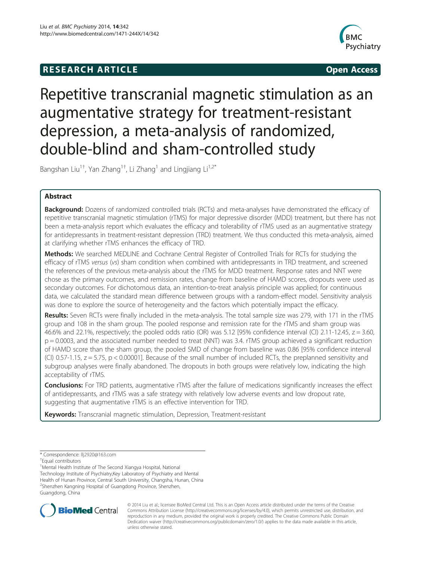# **RESEARCH ARTICLE Example 2018 12:00 Open Access**



# Repetitive transcranial magnetic stimulation as an augmentative strategy for treatment-resistant depression, a meta-analysis of randomized, double-blind and sham-controlled study

Bangshan Liu<sup>1†</sup>, Yan Zhang<sup>1†</sup>, Li Zhang<sup>1</sup> and Lingjiang Li<sup>1,2\*</sup>

# Abstract

**Background:** Dozens of randomized controlled trials (RCTs) and meta-analyses have demonstrated the efficacy of repetitive transcranial magnetic stimulation (rTMS) for major depressive disorder (MDD) treatment, but there has not been a meta-analysis report which evaluates the efficacy and tolerability of rTMS used as an augmentative strategy for antidepressants in treatment-resistant depression (TRD) treatment. We thus conducted this meta-analysis, aimed at clarifying whether rTMS enhances the efficacy of TRD.

Methods: We searched MEDLINE and Cochrane Central Register of Controlled Trials for RCTs for studying the efficacy of rTMS versus (vs) sham condition when combined with antidepressants in TRD treatment, and screened the references of the previous meta-analysis about the rTMS for MDD treatment. Response rates and NNT were chose as the primary outcomes, and remission rates, change from baseline of HAMD scores, dropouts were used as secondary outcomes. For dichotomous data, an intention-to-treat analysis principle was applied; for continuous data, we calculated the standard mean difference between groups with a random-effect model. Sensitivity analysis was done to explore the source of heterogeneity and the factors which potentially impact the efficacy.

Results: Seven RCTs were finally included in the meta-analysis. The total sample size was 279, with 171 in the rTMS group and 108 in the sham group. The pooled response and remission rate for the rTMS and sham group was 46.6% and 22.1%, respectively; the pooled odds ratio (OR) was 5.12 [95% confidence interval (CI) 2.11-12.45,  $z = 3.60$ , p = 0.0003, and the associated number needed to treat (NNT) was 3.4. rTMS group achieved a significant reduction of HAMD score than the sham group, the pooled SMD of change from baseline was 0.86 [95% confidence interval (CI) 0.57-1.15,  $z = 5.75$ ,  $p < 0.00001$ ]. Because of the small number of included RCTs, the preplanned sensitivity and subgroup analyses were finally abandoned. The dropouts in both groups were relatively low, indicating the high acceptability of rTMS.

Conclusions: For TRD patients, augmentative rTMS after the failure of medications significantly increases the effect of antidepressants, and rTMS was a safe strategy with relatively low adverse events and low dropout rate, suggesting that augmentative rTMS is an effective intervention for TRD.

Keywords: Transcranial magnetic stimulation, Depression, Treatment-resistant

<sup>1</sup>Mental Health Institute of The Second Xiangya Hospital, National Technology Institute of Psychiatry,Key Laboratory of Psychiatry and Mental Health of Hunan Province, Central South University, Changsha, Hunan, China <sup>2</sup>Shenzhen Kangning Hospital of Guangdong Province, Shenzhen, Guangdong, China



© 2014 Liu et al.; licensee BioMed Central Ltd. This is an Open Access article distributed under the terms of the Creative Commons Attribution License [\(http://creativecommons.org/licenses/by/4.0\)](http://creativecommons.org/licenses/by/4.0), which permits unrestricted use, distribution, and reproduction in any medium, provided the original work is properly credited. The Creative Commons Public Domain Dedication waiver [\(http://creativecommons.org/publicdomain/zero/1.0/](http://creativecommons.org/publicdomain/zero/1.0/)) applies to the data made available in this article, unless otherwise stated.

<sup>\*</sup> Correspondence: [llj2920@163.com](mailto:llj2920@163.com) †

Equal contributors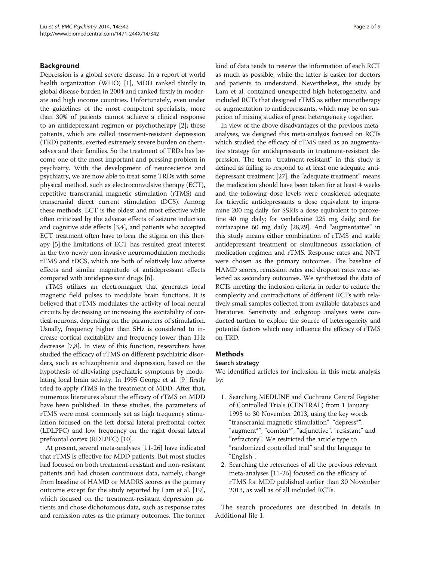### Background

Depression is a global severe disease. In a report of world health organization (WHO) [\[1](#page-7-0)], MDD ranked thirdly in global disease burden in 2004 and ranked firstly in moderate and high income countries. Unfortunately, even under the guidelines of the most competent specialists, more than 30% of patients cannot achieve a clinical response to an antidepressant regimen or psychotherapy [\[2](#page-7-0)]; these patients, which are called treatment-resistant depression (TRD) patients, exerted extremely severe burden on themselves and their families. So the treatment of TRDs has become one of the most important and pressing problem in psychiatry. With the development of neuroscience and psychiatry, we are now able to treat some TRDs with some physical method, such as electroconvulsive therapy (ECT), repetitive transcranial magnetic stimulation (rTMS) and transcranial direct current stimulation tDCS). Among these methods, ECT is the oldest and most effective while often criticized by the adverse effects of seizure induction and cognitive side effects [[3,4](#page-7-0)], and patients who accepted ECT treatment often have to bear the stigma on this therapy [\[5](#page-7-0)].the limitations of ECT has resulted great interest in the two newly non-invasive neuromodulation methods: rTMS and tDCS, which are both of relatively low adverse effects and similar magnitude of antidepressant effects compared with antidepressant drugs [[6\]](#page-7-0).

rTMS utilizes an electromagnet that generates local magnetic field pulses to modulate brain functions. It is believed that rTMS modulates the activity of local neural circuits by decreasing or increasing the excitability of cortical neurons, depending on the parameters of stimulation. Usually, frequency higher than 5Hz is considered to increase cortical excitability and frequency lower than 1Hz decrease [\[7,8\]](#page-7-0). In view of this function, researchers have studied the efficacy of rTMS on different psychiatric disorders, such as schizophrenia and depression, based on the hypothesis of alleviating psychiatric symptoms by modulating local brain activity. In 1995 George et al. [[9](#page-7-0)] firstly tried to apply rTMS in the treatment of MDD. After that, numerous literatures about the efficacy of rTMS on MDD have been published. In these studies, the parameters of rTMS were most commonly set as high frequency stimulation focused on the left dorsal lateral prefrontal cortex (LDLPFC) and low frequency on the right dorsal lateral prefrontal cortex (RDLPFC) [\[10\]](#page-7-0).

At present, several meta-analyses [\[11-](#page-7-0)[26\]](#page-8-0) have indicated that rTMS is effective for MDD patients. But most studies had focused on both treatment-resistant and non-resistant patients and had chosen continuous data, namely, change from baseline of HAMD or MADRS scores as the primary outcome except for the study reported by Lam et al. [[19](#page-7-0)], which focused on the treatment-resistant depression patients and chose dichotomous data, such as response rates and remission rates as the primary outcomes. The former kind of data tends to reserve the information of each RCT as much as possible, while the latter is easier for doctors and patients to understand. Nevertheless, the study by Lam et al. contained unexpected high heterogeneity, and included RCTs that designed rTMS as either monotherapy or augmentation to antidepressants, which may be on suspicion of mixing studies of great heterogeneity together.

In view of the above disadvantages of the previous metaanalyses, we designed this meta-analysis focused on RCTs which studied the efficacy of rTMS used as an augmentative strategy for antidepressants in treatment-resistant depression. The term "treatment-resistant" in this study is defined as failing to respond to at least one adequate antidepressant treatment [\[27](#page-8-0)], the "adequate treatment" means the medication should have been taken for at least 4 weeks and the following dose levels were considered adequate: for tricyclic antidepressants a dose equivalent to impramine 200 mg daily; for SSRIs a dose equivalent to paroxetine 40 mg daily; for venlafaxine 225 mg daily; and for mirtazapine 60 mg daily [[28,29\]](#page-8-0). And "augmentative" in this study means either combination of rTMS and stable antidepressant treatment or simultaneous association of medication regimen and rTMS. Response rates and NNT were chosen as the primary outcomes. The baseline of HAMD scores, remission rates and dropout rates were selected as secondary outcomes. We synthesized the data of RCTs meeting the inclusion criteria in order to reduce the complexity and contradictions of different RCTs with relatively small samples collected from available databases and literatures. Sensitivity and subgroup analyses were conducted further to explore the source of heterogeneity and potential factors which may influence the efficacy of rTMS on TRD.

## Methods

#### Search strategy

We identified articles for inclusion in this meta-analysis by:

- 1. Searching MEDLINE and Cochrane Central Register of Controlled Trials (CENTRAL) from 1 January 1995 to 30 November 2013, using the key words "transcranial magnetic stimulation", "depress\*", "augment\*", "combin\*", "adjunctive", "resistant" and "refractory". We restricted the article type to "randomized controlled trial" and the language to "English".
- 2. Searching the references of all the previous relevant meta-analyses [\[11](#page-7-0)[-26](#page-8-0)] focused on the efficacy of rTMS for MDD published earlier than 30 November 2013, as well as of all included RCTs.

The search procedures are described in details in Additional file [1](#page-7-0).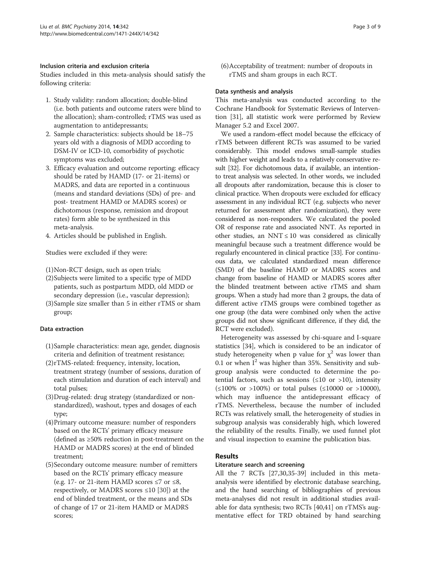# Inclusion criteria and exclusion criteria

Studies included in this meta-analysis should satisfy the following criteria:

- 1. Study validity: random allocation; double-blind (i.e. both patients and outcome raters were blind to the allocation); sham-controlled; rTMS was used as augmentation to antidepressants;
- 2. Sample characteristics: subjects should be 18–75 years old with a diagnosis of MDD according to DSM-IV or ICD-10, comorbidity of psychotic symptoms was excluded;
- 3. Efficacy evaluation and outcome reporting: efficacy should be rated by HAMD (17- or 21-items) or MADRS, and data are reported in a continuous (means and standard deviations (SDs) of pre- and post- treatment HAMD or MADRS scores) or dichotomous (response, remission and dropout rates) form able to be synthesized in this meta-analysis.
- 4. Articles should be published in English.

Studies were excluded if they were:

- (1)Non-RCT design, such as open trials;
- (2)Subjects were limited to a specific type of MDD patients, such as postpartum MDD, old MDD or secondary depression (i.e., vascular depression);
- (3)Sample size smaller than 5 in either rTMS or sham group;

# Data extraction

- (1)Sample characteristics: mean age, gender, diagnosis criteria and definition of treatment resistance;
- (2)rTMS-related: frequency, intensity, location, treatment strategy (number of sessions, duration of each stimulation and duration of each interval) and total pulses;
- (3)Drug-related: drug strategy (standardized or nonstandardized), washout, types and dosages of each type;
- (4)Primary outcome measure: number of responders based on the RCTs' primary efficacy measure (defined as ≥50% reduction in post-treatment on the HAMD or MADRS scores) at the end of blinded treatment;
- (5)Secondary outcome measure: number of remitters based on the RCTs' primary efficacy measure (e.g. 17- or 21-item HAMD scores  $\leq 7$  or  $\leq 8$ , respectively, or MADRS scores  $\leq 10$  [[30](#page-8-0)]) at the end of blinded treatment, or the means and SDs of change of 17 or 21-item HAMD or MADRS scores;

(6)Acceptability of treatment: number of dropouts in rTMS and sham groups in each RCT.

## Data synthesis and analysis

This meta-analysis was conducted according to the Cochrane Handbook for Systematic Reviews of Intervention [[31\]](#page-8-0), all statistic work were performed by Review Manager 5.2 and Excel 2007.

We used a random-effect model because the effcicacy of rTMS between different RCTs was assumed to be varied considerably. This model endows small-sample studies with higher weight and leads to a relatively conservative result [[32](#page-8-0)]. For dichotomous data, if available, an intentionto treat analysis was selected. In other words, we included all dropouts after randomization, because this is closer to clinical practice. When dropouts were excluded for efficacy assessment in any individual RCT (e.g. subjects who never returned for assessment after randomization), they were considered as non-responders. We calculated the pooled OR of response rate and associated NNT. As reported in other studies, an NNT  $\leq 10$  was considered as clinically meaningful because such a treatment difference would be regularly encountered in clinical practice [\[33\]](#page-8-0). For continuous data, we calculated standardized mean difference (SMD) of the baseline HAMD or MADRS scores and change from baseline of HAMD or MADRS scores after the blinded treatment between active rTMS and sham groups. When a study had more than 2 groups, the data of different active rTMS groups were combined together as one group (the data were combined only when the active groups did not show significant difference, if they did, the RCT were excluded).

Heterogeneity was assessed by chi-square and I-square statistics [\[34](#page-8-0)], which is considered to be an indicator of study heterogeneity when p value for  $x^2$  was lower than 0.1 or when  $I^2$  was higher than 35%. Sensitivity and subgroup analysis were conducted to determine the potential factors, such as sessions  $(\leq 10$  or  $>10$ ), intensity (≤100% or >100%) or total pulses (≤10000 or >10000), which may influence the antidepressant efficacy of rTMS. Nevertheless, because the number of included RCTs was relatively small, the heterogeneity of studies in subgroup analysis was considerably high, which lowered the reliability of the results. Finally, we used funnel plot and visual inspection to examine the publication bias.

# Results

### Literature search and screening

All the 7 RCTs [\[27,30,35](#page-8-0)-[39\]](#page-8-0) included in this metaanalysis were identified by electronic database searching, and the hand searching of bibliographies of previous meta-analyses did not result in additional studies available for data synthesis; two RCTs [\[40,41\]](#page-8-0) on rTMS's augmentative effect for TRD obtained by hand searching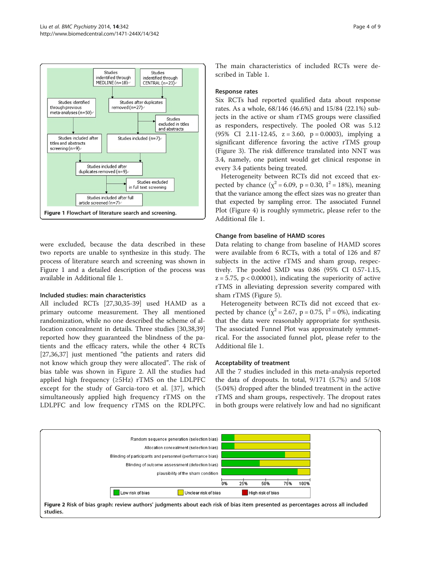

were excluded, because the data described in these two reports are unable to synthesize in this study. The process of literature search and screening was shown in Figure 1 and a detailed description of the process was available in Additional file [1.](#page-7-0)

#### Included studies: main characteristics

All included RCTs [\[27,30,35-39](#page-8-0)] used HAMD as a primary outcome measurement. They all mentioned randomization, while no one described the scheme of allocation concealment in details. Three studies [[30](#page-8-0),[38](#page-8-0),[39](#page-8-0)] reported how they guaranteed the blindness of the patients and the efficacy raters, while the other 4 RCTs [[27,36,37\]](#page-8-0) just mentioned "the patients and raters did not know which group they were allocated". The risk of bias table was shown in Figure 2. All the studies had applied high frequency  $(\geq 5Hz)$  rTMS on the LDLPFC except for the study of Garcia-toro et al. [[37\]](#page-8-0), which simultaneously applied high frequency rTMS on the LDLPFC and low frequency rTMS on the RDLPFC.

The main characteristics of included RCTs were described in Table [1.](#page-4-0)

#### Response rates

Six RCTs had reported qualified data about response rates. As a whole, 68/146 (46.6%) and 15/84 (22.1%) subjects in the active or sham rTMS groups were classified as responders, respectively. The pooled OR was 5.12 (95% CI 2.11-12.45,  $z = 3.60$ ,  $p = 0.0003$ ), implying a significant difference favoring the active rTMS group (Figure [3](#page-5-0)). The risk difference translated into NNT was 3.4, namely, one patient would get clinical response in every 3.4 patients being treated.

Heterogeneity between RCTs did not exceed that expected by chance ( $\chi^2$  = 6.09, p = 0.30, I<sup>2</sup> = 18%), meaning that the variance among the effect sizes was no greater than that expected by sampling error. The associated Funnel Plot (Figure [4](#page-5-0)) is roughly symmetric, please refer to the Additional file [1](#page-7-0).

#### Change from baseline of HAMD scores

Data relating to change from baseline of HAMD scores were available from 6 RCTs, with a total of 126 and 87 subjects in the active rTMS and sham group, respectively. The pooled SMD was 0.86 (95% CI 0.57-1.15,  $z = 5.75$ ,  $p < 0.00001$ ), indicating the superiority of active rTMS in alleviating depression severity compared with sham rTMS (Figure [5](#page-6-0)).

Heterogeneity between RCTs did not exceed that expected by chance ( $\chi^2 = 2.67$ , p = 0.75,  $I^2 = 0$ %), indicating that the data were reasonably appropriate for synthesis. The associated Funnel Plot was approximately symmetrical. For the associated funnel plot, please refer to the Additional file [1](#page-7-0).

#### Acceptability of treatment

All the 7 studies included in this meta-analysis reported the data of dropouts. In total, 9/171 (5.7%) and 5/108 (5.04%) dropped after the blinded treatment in the active rTMS and sham groups, respectively. The dropout rates in both groups were relatively low and had no significant

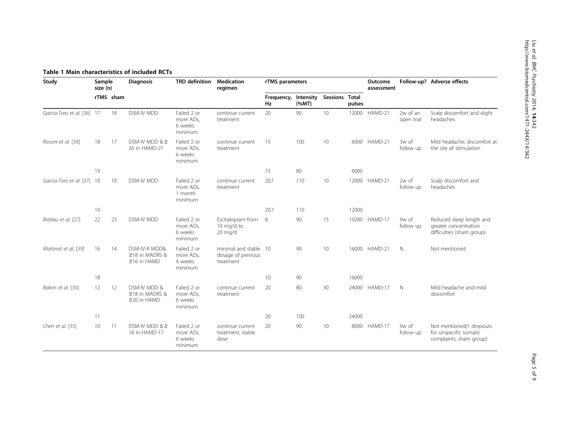<span id="page-4-0"></span>

| Study                      | Sample<br>size (n) |           | <b>Diagnosis</b>                                     | <b>TRD</b> definition                          | <b>Medication</b><br>regimen                             | rTMS parameters                   |       |                |        | Outcome<br>assessment |                        | Follow-up? Adverse effects                                                     |
|----------------------------|--------------------|-----------|------------------------------------------------------|------------------------------------------------|----------------------------------------------------------|-----------------------------------|-------|----------------|--------|-----------------------|------------------------|--------------------------------------------------------------------------------|
|                            |                    | rTMS sham |                                                      |                                                |                                                          | Frequency, Intensity<br><b>Hz</b> | (%MT) | Sessions Total | pulses |                       |                        |                                                                                |
| Garcia-Toro et al. [36] 17 |                    | 18        | <b>DSM-IV MDD</b>                                    | Failed 2 or<br>more ADs,<br>6 weeks<br>minimum | continue current<br>treatment                            | 20                                | 90    | 10             | 12000  | HAMD-21               | 2w of an<br>open trial | Scalp discomfort and slight<br>headaches                                       |
| Rossini et al. [38]        | 18                 | 17        | DSM-IV MDD & ≥<br>26 in HAMD-21                      | Failed 2 or<br>more ADs,<br>6 weeks<br>minimum | continue current<br>treatment                            | 15                                | 100   | 10             | 6000   | HAMD-21               | 3w of<br>follow up     | Mild headache; discomfort at<br>the site of stimulation                        |
|                            | 19                 |           |                                                      |                                                |                                                          | 15                                | 80    |                | 6000   |                       |                        |                                                                                |
| Garcia-Toro et al. [37] 10 |                    | 10        | <b>DSM-IV MDD</b>                                    | Failed 2 or<br>more ADs,<br>1 month<br>minimum | continue current<br>treatment                            | 20,1                              | 110   | 10             | 12000  | HAMD-21               | 2w of<br>follow up     | Scalp discomfort and<br>headaches                                              |
|                            | 10                 |           |                                                      |                                                |                                                          | 20,1                              | 110   |                | 12000  |                       |                        |                                                                                |
| Bretlau et al. [27]        | 22                 | 23        | <b>DSM-IV MDD</b>                                    | Failed 2 or<br>more ADs,<br>6 weeks<br>minimum | Escitalopram from<br>10 mg/d to<br>$20 \text{ mg/d}$     | 8                                 | 90    | 15             | 19200  | HAMD-17               | 9w of<br>follow up     | Reduced sleep length and<br>greater concentration<br>difficulties (sham group) |
| Martinot et al. [39]       | 16                 | 14        | DSM-IV-R MDD&<br>≥18 in MADRS &<br>$\geq$ 16 in HAMD | Failed 2 or<br>more ADs,<br>4 weeks<br>minimum | minimal and stable 10<br>dosage of previous<br>treatment |                                   | 90    | 10             | 16000  | HAMD-21               | N                      | Not mentioned                                                                  |
|                            | 18                 |           |                                                      |                                                |                                                          | 10                                | 90    |                | 16000  |                       |                        |                                                                                |
| Bakim et al. [30]          | 12                 | 12        | DSM-IV MDD &<br>≥18 in MADRS &<br>$\geq$ 20 in HAMD  | Failed 2 or<br>more ADs,<br>6 weeks<br>minimum | continue current<br>treatment                            | 20                                | 80    | 30             | 24000  | HAMD-17               | N                      | Mild headache and mild<br>discomfort                                           |
|                            | 11                 |           |                                                      |                                                |                                                          | 20                                | 100   |                | 24000  |                       |                        |                                                                                |
| Chen et al. [35]           | 10                 | -11       | DSM-IV MDD $>$<br>18 in HAMD-17                      | Failed 2 or<br>more ADs,<br>6 weeks<br>minimum | continue current<br>treatment, stable<br>dose            | 20                                | 90    | 10             | 8000   | HAMD-17               | 9w of<br>follow up     | Not mentioned(1 dropouts<br>for unspecific somatic<br>complaints, sham group)  |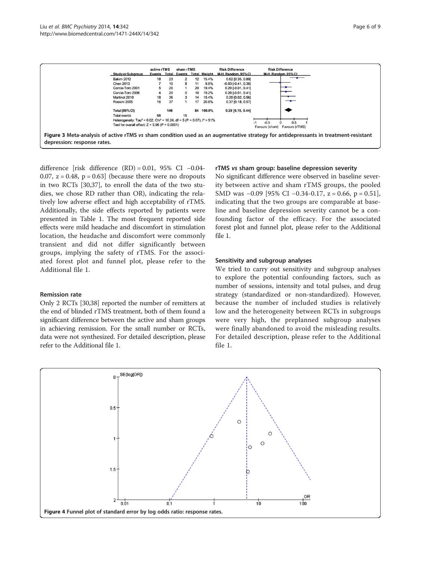<span id="page-5-0"></span>

difference [risk difference  $(RD) = 0.01$ , 95% CI -0.04-0.07,  $z = 0.48$ ,  $p = 0.63$  (because there were no dropouts in two RCTs [\[30,37](#page-8-0)], to enroll the data of the two studies, we chose RD rather than OR), indicating the relatively low adverse effect and high acceptability of rTMS. Additionally, the side effects reported by patients were presented in Table [1.](#page-4-0) The most frequent reported side effects were mild headache and discomfort in stimulation location, the headache and discomfort were commonly transient and did not differ significantly between groups, implying the safety of rTMS. For the associated forest plot and funnel plot, please refer to the Additional file [1](#page-7-0).

#### Remission rate

Only 2 RCTs [\[30,38\]](#page-8-0) reported the number of remitters at the end of blinded rTMS treatment, both of them found a significant difference between the active and sham groups in achieving remission. For the small number or RCTs, data were not synthesized. For detailed description, please refer to the Additional file [1](#page-7-0).

#### rTMS vs sham group: baseline depression severity

No significant difference were observed in baseline severity between active and sham rTMS groups, the pooled SMD was -0.09 [95% CI -0.34-0.17, z = 0.66, p = 0.51], indicating that the two groups are comparable at baseline and baseline depression severity cannot be a confounding factor of the efficacy. For the associated forest plot and funnel plot, please refer to the Additional file [1](#page-7-0).

#### Sensitivity and subgroup analyses

We tried to carry out sensitivity and subgroup analyses to explore the potential confounding factors, such as number of sessions, intensity and total pulses, and drug strategy (standardized or non-standardized). However, because the number of included studies is relatively low and the heterogeneity between RCTs in subgroups were very high, the preplanned subgroup analyses were finally abandoned to avoid the misleading results. For detailed description, please refer to the Additional file [1.](#page-7-0)

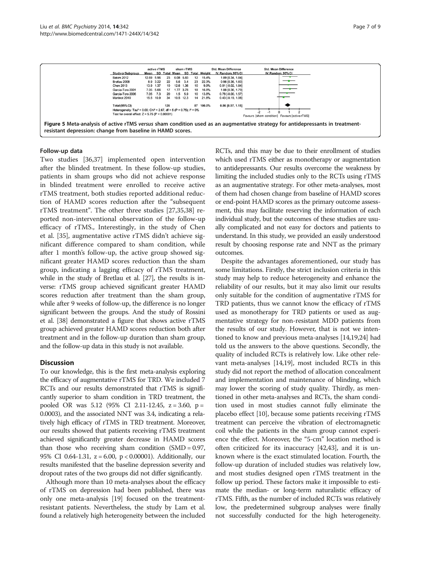<span id="page-6-0"></span>

#### Follow-up data

Two studies [[36](#page-8-0),[37](#page-8-0)] implemented open intervention after the blinded treatment. In these follow-up studies, patients in sham groups who did not achieve response in blinded treatment were enrolled to receive active rTMS treatment, both studies reported additional reduction of HAMD scores reduction after the "subsequent rTMS treatment". The other three studies [\[27,35,38](#page-8-0)] reported non-interventional observation of the follow-up efficacy of rTMS., Interestingly, in the study of Chen et al. [[35](#page-8-0)], augmentative active rTMS didn't achieve significant difference compared to sham condition, while after 1 month's follow-up, the active group showed significant greater HAMD scores reduction than the sham group, indicating a lagging efficacy of rTMS treatment, while in the study of Bretlau et al. [\[27](#page-8-0)], the results is inverse: rTMS group achieved significant greater HAMD scores reduction after treatment than the sham group, while after 9 weeks of follow-up, the difference is no longer significant between the groups. And the study of Rossini et al. [\[38\]](#page-8-0) demonstrated a figure that shows active rTMS group achieved greater HAMD scores reduction both after treatment and in the follow-up duration than sham group, and the follow-up data in this study is not available.

#### **Discussion**

To our knowledge, this is the first meta-analysis exploring the efficacy of augmentative rTMS for TRD. We included 7 RCTs and our results demonstrated that rTMS is significantly superior to sham condition in TRD treatment, the pooled OR was 5.12 (95% CI 2.11-12.45, z = 3.60, p = 0.0003), and the associated NNT was 3.4, indicating a relatively high efficacy of rTMS in TRD treatment. Moreover, our results showed that patients receiving rTMS treatment achieved significantly greater decrease in HAMD scores than those who receiving sham condition  $(SMD = 0.97)$ , 95% CI 0.64-1.31, z = 6.00, p < 0.00001). Additionally, our results manifested that the baseline depression severity and dropout rates of the two groups did not differ significantly.

Although more than 10 meta-analyses about the efficacy of rTMS on depression had been published, there was only one meta-analysis [\[19\]](#page-7-0) focused on the treatmentresistant patients. Nevertheless, the study by Lam et al. found a relatively high heterogeneity between the included

RCTs, and this may be due to their enrollment of studies which used rTMS either as monotherapy or augmentation to antidepressants. Our results overcome the weakness by limiting the included studies only to the RCTs using rTMS as an augmentative strategy. For other meta-analyses, most of them had chosen change from baseline of HAMD scores or end-point HAMD scores as the primary outcome assessment, this may facilitate reserving the information of each individual study, but the outcomes of these studies are usually complicated and not easy for doctors and patients to understand. In this study, we provided an easily understood result by choosing response rate and NNT as the primary outcomes.

Despite the advantages aforementioned, our study has some limitations. Firstly, the strict inclusion criteria in this study may help to reduce heterogeneity and enhance the reliability of our results, but it may also limit our results only suitable for the condition of augmentative rTMS for TRD patients, thus we cannot know the efficacy of rTMS used as monotherapy for TRD patients or used as augmentative strategy for non-resistant MDD patients from the results of our study. However, that is not we intentioned to know and previous meta-analyses [[14](#page-7-0),[19,24\]](#page-7-0) had told us the answers to the above questions. Secondly, the quality of included RCTs is relatively low. Like other relevant meta-analyses [\[14,19](#page-7-0)], most included RCTs in this study did not report the method of allocation concealment and implementation and maintenance of blinding, which may lower the scoring of study quality. Thirdly, as mentioned in other meta-analyses and RCTs, the sham condition used in most studies cannot fully eliminate the placebo effect [[10](#page-7-0)], because some patients receiving rTMS treatment can perceive the vibration of electromagnetic coil while the patients in the sham group cannot experience the effect. Moreover, the "5-cm" location method is often criticized for its inaccuracy [\[42,43](#page-8-0)], and it is unknown where is the exact stimulated location. Fourth, the follow-up duration of included studies was relatively low, and most studies designed open rTMS treatment in the follow up period. These factors make it impossible to estimate the median- or long-term naturalistic efficacy of rTMS. Fifth, as the number of included RCTs was relatively low, the predetermined subgroup analyses were finally not successfully conducted for the high heterogeneity.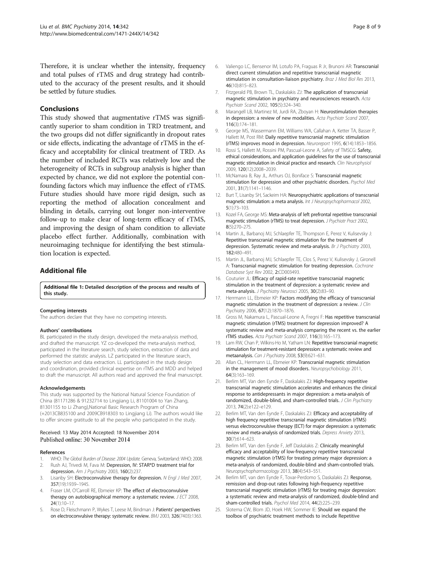<span id="page-7-0"></span>Therefore, it is unclear whether the intensity, frequency and total pulses of rTMS and drug strategy had contributed to the accuracy of the present results, and it should be settled by future studies.

#### Conclusions

This study showed that augmentative rTMS was significantly superior to sham condition in TRD treatment, and the two groups did not differ significantly in dropout rates or side effects, indicating the advantage of rTMS in the efficacy and acceptability for clinical treatment of TRD. As the number of included RCTs was relatively low and the heterogeneity of RCTs in subgroup analysis is higher than expected by chance, we did not explore the potential confounding factors which may influence the effect of rTMS. Future studies should have more rigid design, such as reporting the method of allocation concealment and blinding in details, carrying out longer non-interventive follow-up to make clear of long-term efficacy of rTMS, and improving the design of sham condition to alleviate placebo effect further. Additionally, combination with neuroimaging technique for identifying the best stimulation location is expected.

### Additional file

[Additional file 1:](http://www.biomedcentral.com/content/supplementary/s12888-014-0342-4-s1.doc) Detailed description of the process and results of this study.

#### Competing interests

The authors declare that they have no competing interests.

#### Authors' contributions

BL participated in the study design, developed the meta-analysis method, and drafted the manuscript. YZ co-developed the meta-analysis method, participated in the literature search, study selection, extraction of data and performed the statistic analysis. LZ participated in the literature search, study selection and data extraction. LL participated in the study design and coordination, provided clinical expertise on rTMS and MDD and helped to draft the manuscript. All authors read and approved the final manuscript.

#### Acknowledgements

This study was supported by the National Natural Science Foundation of China (81171286 & 91232714 to Lingjiang Li, 81101004 to Yan Zhang, 81301155 to Li Zhang),National Basic Research Program of China (+2013CB835100 and 2009CB918303 to Lingjiang Li). The authors would like to offer sincere gratitude to all the people who participated in the study.

#### Received: 13 May 2014 Accepted: 18 November 2014 Published online: 30 November 2014

#### References

- 1. WHO: The Global Burden of Disease: 2004 Update. Geneva, Switzerland: WHO; 2008. 2. Rush AJ, Trivedi M, Fava M: Depression, IV: STAR\*D treatment trial for
- depression. Am J Psychiatry 2003, 160(2):237.
- 3. Lisanby SH: Electroconvulsive therapy for depression. N Engl J Med 2007, 357(19):1939–1945.
- 4. Fraser LM, O'Carroll RE, Ebmeier KP: The effect of electroconvulsive therapy on autobiographical memory: a systematic review. J ECT 2008, 24(1):10–17.
- 5. Rose D, Fleischmann P, Wykes T, Leese M, Bindman J: Patients' perspectives on electroconvulsive therapy: systematic review. BMJ 2003, 326(7403):1363.
- 6. Valiengo LC, Bensenor IM, Lotufo PA, Fraguas R Jr, Brunoni AR: Transcranial direct current stimulation and repetitive transcranial magnetic stimulation in consultation-liaison psychiatry. Braz J Med Biol Res 2013, 46(10):815–823.
- 7. Fitzgerald PB, Brown TL, Daskalakis ZJ: The application of transcranial magnetic stimulation in psychiatry and neurosciences research. Acta Psychiatr Scand 2002, 105(5):324–340.
- 8. Marangell LB, Martinez M, Jurdi RA, Zboyan H: Neurostimulation therapies in depression: a review of new modalities. Acta Psychiatr Scand 2007, 116(3):174–181.
- 9. George MS, Wassermann EM, Williams WA, Callahan A, Ketter TA, Basser P, Hallett M, Post RM: Daily repetitive transcranial magnetic stimulation (rTMS) improves mood in depression. Neuroreport 1995, 6(14):1853–1856.
- 10. Rossi S, Hallett M, Rossini PM, Pascual-Leone A, Safety of TMSCG: Safety, ethical considerations, and application guidelines for the use of transcranial magnetic stimulation in clinical practice and research. Clin Neurophysiol 2009, 120(12):2008–2039.
- 11. McNamara B, Ray JL, Arthurs OJ, Boniface S: Transcranial magnetic stimulation for depression and other psychiatric disorders. Psychol Med 2001, 31(7):1141–1146.
- 12. Burt T, Lisanby SH, Sackeim HA: Neuropsychiatric applications of transcranial magnetic stimulation: a meta analysis. Int J Neuropsychopharmacol 2002, 5(1):73–103.
- 13. Kozel FA, George MS: Meta-analysis of left prefrontal repetitive transcranial magnetic stimulation (rTMS) to treat depression. J Psychiatr Pract 2002, 8(5):270–275.
- 14. Martin JL, Barbanoj MJ, Schlaepfer TE, Thompson E, Perez V, Kulisevsky J: Repetitive transcranial magnetic stimulation for the treatment of depression. Systematic review and meta-analysis. Br J Psychiatry 2003, 182:480–491.
- 15. Martin JL, Barbanoj MJ, Schlaepfer TE, Clos S, Perez V, Kulisevsky J, Gironell A: Transcranial magnetic stimulation for treating depression. Cochrane Database Syst Rev 2002, 2:CD003493.
- 16. Couturier JL: Efficacy of rapid-rate repetitive transcranial magnetic stimulation in the treatment of depression: a systematic review and meta-analysis. J Psychiatry Neurosci 2005, 30(2):83–90.
- 17. Herrmann LL, Ebmeier KP: Factors modifying the efficacy of transcranial magnetic stimulation in the treatment of depression: a review. J Clin Psychiatry 2006, 67(12):1870–1876.
- 18. Gross M, Nakamura L, Pascual-Leone A, Fregni F: Has repetitive transcranial magnetic stimulation (rTMS) treatment for depression improved? A systematic review and meta-analysis comparing the recent vs. the earlier rTMS studies. Acta Psychiatr Scand 2007, 116(3):165–173.
- 19. Lam RW, Chan P, Wilkins-Ho M, Yatham LN: Repetitive transcranial magnetic stimulation for treatment-resistant depression: a systematic review and metaanalysis. Can J Psychiatry 2008, 53(9):621–631.
- 20. Allan CL, Herrmann LL, Ebmeier KP: Transcranial magnetic stimulation in the management of mood disorders. Neuropsychobiology 2011, 64(3):163–169.
- 21. Berlim MT, Van den Eynde F, Daskalakis ZJ: High-frequency repetitive transcranial magnetic stimulation accelerates and enhances the clinical response to antidepressants in major depression: a meta-analysis of randomized, double-blind, and sham-controlled trials. J Clin Psychiatry 2013, 74(2):e122–e129.
- 22. Berlim MT, Van den Eynde F, Daskalakis ZJ: Efficacy and acceptability of high frequency repetitive transcranial magnetic stimulation (rTMS) versus electroconvulsive therapy (ECT) for major depression: a systematic review and meta-analysis of randomized trials. Depress Anxiety 2013, 30(7):614–623.
- 23. Berlim MT, Van den Eynde F, Jeff Daskalakis Z: Clinically meaningful efficacy and acceptability of low-frequency repetitive transcranial magnetic stimulation (rTMS) for treating primary major depression: a meta-analysis of randomized, double-blind and sham-controlled trials. Neuropsychopharmacology 2013, 38(4):543–551.
- 24. Berlim MT, van den Eynde F, Tovar-Perdomo S, Daskalakis ZJ: Response, remission and drop-out rates following high-frequency repetitive transcranial magnetic stimulation (rTMS) for treating major depression: a systematic review and meta-analysis of randomized, double-blind and sham-controlled trials. Psychol Med 2014, 44(2):225–239.
- 25. Slotema CW, Blom JD, Hoek HW, Sommer IE: Should we expand the toolbox of psychiatric treatment methods to include Repetitive